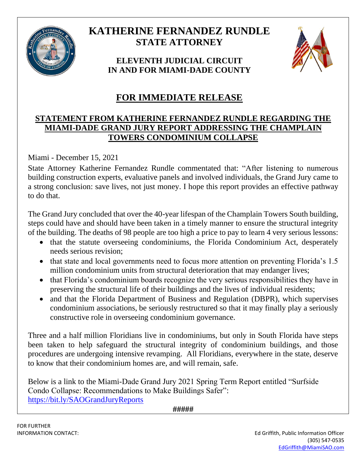

## **KATHERINE FERNANDEZ RUNDLE STATE ATTORNEY**

**ELEVENTH JUDICIAL CIRCUIT IN AND FOR MIAMI-DADE COUNTY**



## **FOR IMMEDIATE RELEASE**

## **STATEMENT FROM KATHERINE FERNANDEZ RUNDLE REGARDING THE MIAMI-DADE GRAND JURY REPORT ADDRESSING THE CHAMPLAIN TOWERS CONDOMINIUM COLLAPSE**

Miami - December 15, 2021

State Attorney Katherine Fernandez Rundle commentated that: "After listening to numerous building construction experts, evaluative panels and involved individuals, the Grand Jury came to a strong conclusion: save lives, not just money. I hope this report provides an effective pathway to do that.

The Grand Jury concluded that over the 40-year lifespan of the Champlain Towers South building, steps could have and should have been taken in a timely manner to ensure the structural integrity of the building. The deaths of 98 people are too high a price to pay to learn 4 very serious lessons:

- that the statute overseeing condominiums, the Florida Condominium Act, desperately needs serious revision;
- that state and local governments need to focus more attention on preventing Florida's 1.5 million condominium units from structural deterioration that may endanger lives;
- that Florida's condominium boards recognize the very serious responsibilities they have in preserving the structural life of their buildings and the lives of individual residents;
- and that the Florida Department of Business and Regulation (DBPR), which supervises condominium associations, be seriously restructured so that it may finally play a seriously constructive role in overseeing condominium governance.

Three and a half million Floridians live in condominiums, but only in South Florida have steps been taken to help safeguard the structural integrity of condominium buildings, and those procedures are undergoing intensive revamping. All Floridians, everywhere in the state, deserve to know that their condominium homes are, and will remain, safe.

Below is a link to the Miami-Dade Grand Jury 2021 Spring Term Report entitled "Surfside Condo Collapse: Recommendations to Make Buildings Safer": <https://bit.ly/SAOGrandJuryReports>

**#####**